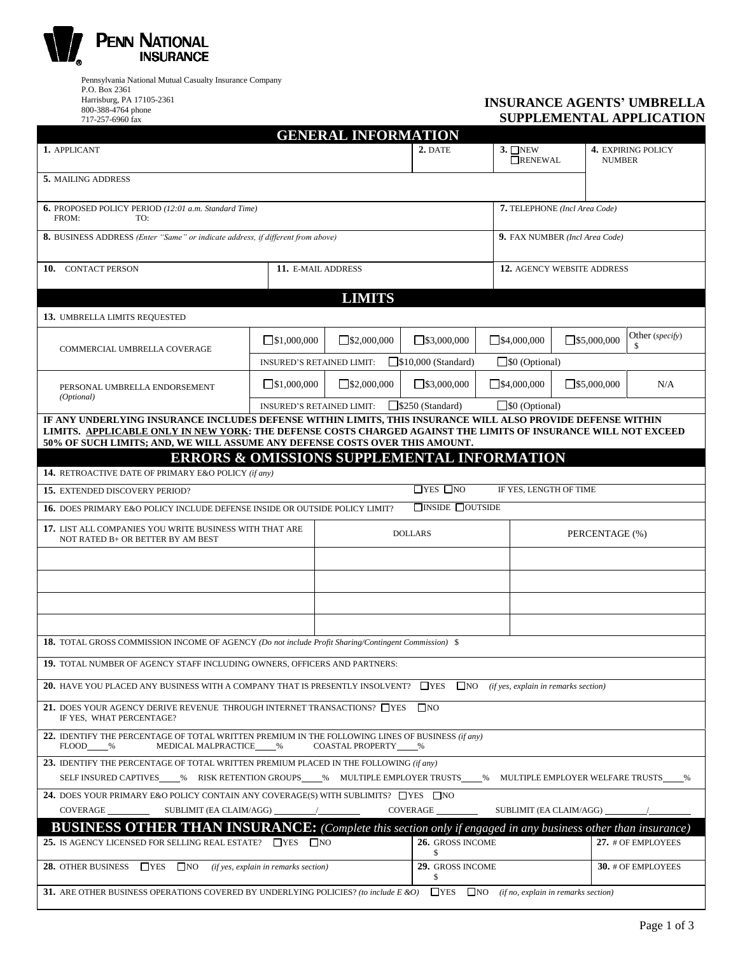

Pennsylvania National Mutual Casualty Insurance Company P.O. Box 2361 Harrisburg, PA 17105-2361 800-388-4764 phone 717-257-6960 fax

## **INSURANCE AGENTS' UMBRELLA SUPPLEMENTAL APPLICATION**

| <b>GENERAL INFORMATION</b>                                                                                                                                                                                                    |                                      |                                  |                              |                          |                                            |                       |  |  |
|-------------------------------------------------------------------------------------------------------------------------------------------------------------------------------------------------------------------------------|--------------------------------------|----------------------------------|------------------------------|--------------------------|--------------------------------------------|-----------------------|--|--|
| 1. APPLICANT                                                                                                                                                                                                                  |                                      | 2. DATE                          | $3.$ ONEW<br>RENEWAL         |                          | <b>4. EXPIRING POLICY</b><br><b>NUMBER</b> |                       |  |  |
| 5. MAILING ADDRESS                                                                                                                                                                                                            |                                      |                                  |                              |                          |                                            |                       |  |  |
| 7. TELEPHONE (Incl Area Code)<br><b>6.</b> PROPOSED POLICY PERIOD (12:01 a.m. Standard Time)<br>FROM:<br>TO:                                                                                                                  |                                      |                                  |                              |                          |                                            |                       |  |  |
| <b>8.</b> BUSINESS ADDRESS (Enter "Same" or indicate address, if different from above)                                                                                                                                        |                                      |                                  |                              |                          | 9. FAX NUMBER (Incl Area Code)             |                       |  |  |
| 10. CONTACT PERSON<br>11. E-MAIL ADDRESS                                                                                                                                                                                      |                                      |                                  |                              |                          | 12. AGENCY WEBSITE ADDRESS                 |                       |  |  |
|                                                                                                                                                                                                                               |                                      | <b>LIMITS</b>                    |                              |                          |                                            |                       |  |  |
| <b>13. UMBRELLA LIMITS REQUESTED</b>                                                                                                                                                                                          |                                      |                                  |                              |                          |                                            |                       |  |  |
| COMMERCIAL UMBRELLA COVERAGE                                                                                                                                                                                                  | $\square$ \$1,000,000                | $\square$ \$2,000,000            | $\square$ \$3,000,000        | $\square$ \$4,000,000    | $\square$ \$5,000,000                      | Other (specify)<br>\$ |  |  |
|                                                                                                                                                                                                                               | <b>INSURED'S RETAINED LIMIT:</b>     |                                  | $\Box$ \$10,000 (Standard)   |                          | $\Box$ \$0 (Optional)                      |                       |  |  |
| PERSONAL UMBRELLA ENDORSEMENT<br>(Optional)                                                                                                                                                                                   | $\square$ \$1,000,000                | $\Box$ \$2,000,000               | $\square$ \$3,000,000        | $\Box$ \$4,000,000       | $\square$ \$5,000,000                      | N/A                   |  |  |
|                                                                                                                                                                                                                               | <b>INSURED'S RETAINED LIMIT:</b>     |                                  | $\Box$ \$250 (Standard)      | $\square$ \$0 (Optional) |                                            |                       |  |  |
| IF ANY UNDERLYING INSURANCE INCLUDES DEFENSE WITHIN LIMITS, THIS INSURANCE WILL ALSO PROVIDE DEFENSE WITHIN<br>LIMITS. APPLICABLE ONLY IN NEW YORK: THE DEFENSE COSTS CHARGED AGAINST THE LIMITS OF INSURANCE WILL NOT EXCEED |                                      |                                  |                              |                          |                                            |                       |  |  |
| 50% OF SUCH LIMITS; AND, WE WILL ASSUME ANY DEFENSE COSTS OVER THIS AMOUNT.                                                                                                                                                   |                                      |                                  |                              |                          |                                            |                       |  |  |
| <b>ERRORS &amp; OMISSIONS SUPPLEMENTAL INFORMATION</b>                                                                                                                                                                        |                                      |                                  |                              |                          |                                            |                       |  |  |
| <b>14.</b> RETROACTIVE DATE OF PRIMARY E&O POLICY (if any)                                                                                                                                                                    |                                      |                                  |                              |                          |                                            |                       |  |  |
| 15. EXTENDED DISCOVERY PERIOD?                                                                                                                                                                                                |                                      |                                  | $\Box$ YES $\Box$ NO         | IF YES, LENGTH OF TIME   |                                            |                       |  |  |
| 16. DOES PRIMARY E&O POLICY INCLUDE DEFENSE INSIDE OR OUTSIDE POLICY LIMIT?                                                                                                                                                   |                                      |                                  | $\Box$ INSIDE $\Box$ OUTSIDE |                          |                                            |                       |  |  |
| 17. LIST ALL COMPANIES YOU WRITE BUSINESS WITH THAT ARE<br>NOT RATED B+ OR BETTER BY AM BEST                                                                                                                                  |                                      | <b>DOLLARS</b><br>PERCENTAGE (%) |                              |                          |                                            |                       |  |  |
|                                                                                                                                                                                                                               |                                      |                                  |                              |                          |                                            |                       |  |  |
|                                                                                                                                                                                                                               |                                      |                                  |                              |                          |                                            |                       |  |  |
|                                                                                                                                                                                                                               |                                      |                                  |                              |                          |                                            |                       |  |  |
|                                                                                                                                                                                                                               |                                      |                                  |                              |                          |                                            |                       |  |  |
| 18. TOTAL GROSS COMMISSION INCOME OF AGENCY (Do not include Profit Sharing/Contingent Commission) \$                                                                                                                          |                                      |                                  |                              |                          |                                            |                       |  |  |
| 19. TOTAL NUMBER OF AGENCY STAFF INCLUDING OWNERS, OFFICERS AND PARTNERS:                                                                                                                                                     |                                      |                                  |                              |                          |                                            |                       |  |  |
| <b>20.</b> HAVE YOU PLACED ANY BUSINESS WITH A COMPANY THAT IS PRESENTLY INSOLVENT? $\Box$ YES $\Box$ NO (if yes, explain in remarks section)                                                                                 |                                      |                                  |                              |                          |                                            |                       |  |  |
| 21. DOES YOUR AGENCY DERIVE REVENUE THROUGH INTERNET TRANSACTIONS? TYES<br>$\square$ NO<br>IF YES, WHAT PERCENTAGE?                                                                                                           |                                      |                                  |                              |                          |                                            |                       |  |  |
| 22. IDENTIFY THE PERCENTAGE OF TOTAL WRITTEN PREMIUM IN THE FOLLOWING LINES OF BUSINESS $(i f a n y)$<br>MEDICAL MALPRACTICE<br>COASTAL PROPERTY %<br>FLOOD %<br>$\%$                                                         |                                      |                                  |                              |                          |                                            |                       |  |  |
| 23. IDENTIFY THE PERCENTAGE OF TOTAL WRITTEN PREMIUM PLACED IN THE FOLLOWING (if any)                                                                                                                                         |                                      |                                  |                              |                          |                                            |                       |  |  |
| SELF INSURED CAPTIVES____% RISK RETENTION GROUPS____% MULTIPLE EMPLOYER TRUSTS____% MULTIPLE EMPLOYER WELFARE TRUSTS___<br>%                                                                                                  |                                      |                                  |                              |                          |                                            |                       |  |  |
| 24. DOES YOUR PRIMARY E&O POLICY CONTAIN ANY COVERAGE(S) WITH SUBLIMITS? TYES TNO                                                                                                                                             |                                      |                                  |                              |                          |                                            |                       |  |  |
| <b>COVERAGE</b><br>SUBLIMIT (EA CLAIM/AGG) _<br>COVERAGE<br>SUBLIMIT (EA CLAIM/AGG)                                                                                                                                           |                                      |                                  |                              |                          |                                            |                       |  |  |
| <b>BUSINESS OTHER THAN INSURANCE:</b> (Complete this section only if engaged in any business other than insurance)                                                                                                            |                                      |                                  |                              |                          |                                            |                       |  |  |
| 25. IS AGENCY LICENSED FOR SELLING REAL ESTATE? $\Box$ YES $\Box$ NO                                                                                                                                                          |                                      |                                  | 26. GROSS INCOME<br>\$       |                          |                                            | 27. # OF EMPLOYEES    |  |  |
| 28. OTHER BUSINESS $\Box$ YES $\Box$ NO                                                                                                                                                                                       | (if yes, explain in remarks section) |                                  | 29. GROSS INCOME<br>\$       |                          |                                            | 30. # OF EMPLOYEES    |  |  |
| 31. ARE OTHER BUSINESS OPERATIONS COVERED BY UNDERLYING POLICIES? (to include E &O)<br>$\Box$ YES $\Box$ NO (if no, explain in remarks section)                                                                               |                                      |                                  |                              |                          |                                            |                       |  |  |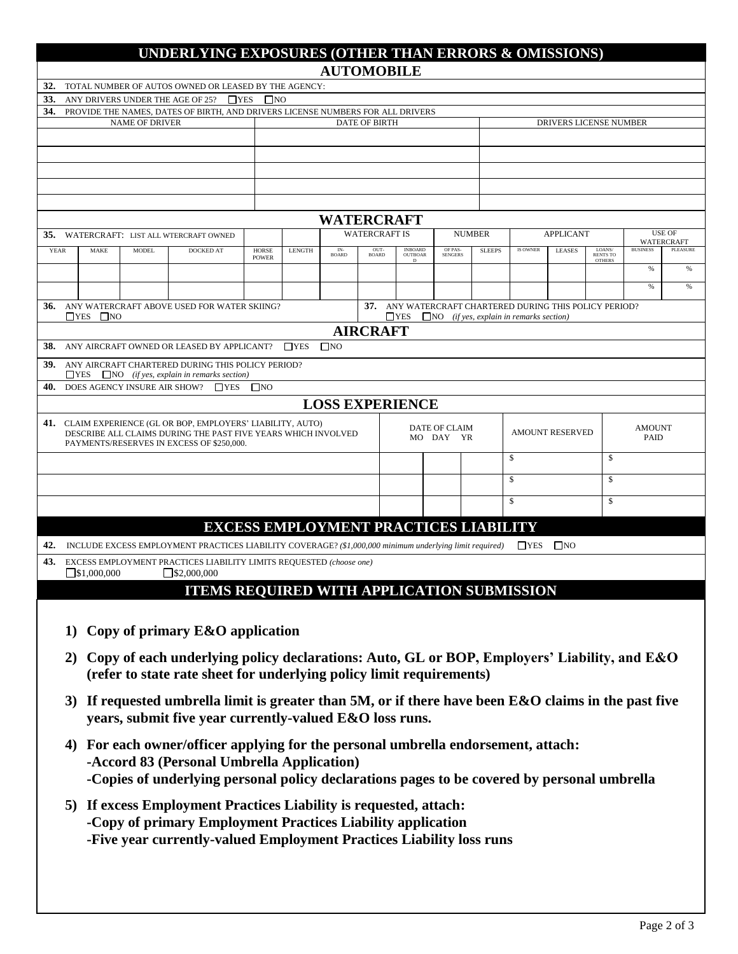|                                     |                                                                                                            |                       |                              | UNDERLYING EXPOSURES (OTHER THAN ERRORS & OMISSIONS)                                                          |                              |               |                     |                      |                           |                                              |               |                                                           |                                                         |                           |                 |                        |
|-------------------------------------|------------------------------------------------------------------------------------------------------------|-----------------------|------------------------------|---------------------------------------------------------------------------------------------------------------|------------------------------|---------------|---------------------|----------------------|---------------------------|----------------------------------------------|---------------|-----------------------------------------------------------|---------------------------------------------------------|---------------------------|-----------------|------------------------|
|                                     |                                                                                                            |                       |                              |                                                                                                               |                              |               | <b>AUTOMOBILE</b>   |                      |                           |                                              |               |                                                           |                                                         |                           |                 |                        |
| 33.                                 |                                                                                                            |                       |                              | 32. TOTAL NUMBER OF AUTOS OWNED OR LEASED BY THE AGENCY:<br>ANY DRIVERS UNDER THE AGE OF 25? $\Box$ YES       | $\square$ NO                 |               |                     |                      |                           |                                              |               |                                                           |                                                         |                           |                 |                        |
| 34.                                 |                                                                                                            |                       |                              | PROVIDE THE NAMES, DATES OF BIRTH, AND DRIVERS LICENSE NUMBERS FOR ALL DRIVERS                                |                              |               |                     |                      |                           |                                              |               |                                                           |                                                         |                           |                 |                        |
|                                     |                                                                                                            |                       | <b>NAME OF DRIVER</b>        |                                                                                                               |                              |               |                     | <b>DATE OF BIRTH</b> |                           |                                              |               |                                                           | DRIVERS LICENSE NUMBER                                  |                           |                 |                        |
|                                     |                                                                                                            |                       |                              |                                                                                                               |                              |               |                     |                      |                           |                                              |               |                                                           |                                                         |                           |                 |                        |
|                                     |                                                                                                            |                       |                              |                                                                                                               |                              |               |                     |                      |                           |                                              |               |                                                           |                                                         |                           |                 |                        |
|                                     |                                                                                                            |                       |                              |                                                                                                               |                              |               |                     |                      |                           |                                              |               |                                                           |                                                         |                           |                 |                        |
|                                     |                                                                                                            |                       |                              |                                                                                                               |                              |               |                     |                      |                           |                                              |               |                                                           |                                                         |                           |                 |                        |
|                                     |                                                                                                            |                       |                              |                                                                                                               |                              |               | <b>WATERCRAFT</b>   |                      |                           |                                              |               |                                                           |                                                         |                           |                 |                        |
| 35.                                 |                                                                                                            |                       |                              | WATERCRAFT: LIST ALL WTERCRAFT OWNED                                                                          |                              |               |                     | <b>WATERCRAFT IS</b> |                           |                                              | <b>NUMBER</b> | <b>APPLICANT</b>                                          |                                                         |                           |                 | <b>USE OF</b>          |
| <b>YEAR</b>                         |                                                                                                            | <b>MAKE</b>           | <b>MODEL</b>                 | DOCKED AT                                                                                                     | <b>HORSE</b><br><b>POWER</b> | <b>LENGTH</b> | IN-<br><b>BOARD</b> | OUT-<br><b>BOARD</b> | <b>INBOARD</b><br>OUTBOAR | OF PAS-<br><b>SENGERS</b>                    | <b>SLEEPS</b> | <b>IS OWNER</b>                                           | <b>LEASES</b>                                           | LOANS/<br><b>RENTS TO</b> | <b>BUSINESS</b> | WATERCRAFT<br>PLEASURE |
|                                     |                                                                                                            |                       |                              |                                                                                                               |                              |               |                     |                      | D                         |                                              |               |                                                           |                                                         | <b>OTHERS</b>             | $\%$            | %                      |
|                                     |                                                                                                            |                       |                              |                                                                                                               |                              |               |                     |                      |                           |                                              |               |                                                           |                                                         |                           | %               | $\%$                   |
|                                     |                                                                                                            |                       |                              | 36. ANY WATERCRAFT ABOVE USED FOR WATER SKIING?                                                               |                              |               |                     |                      |                           |                                              |               |                                                           | 37. ANY WATERCRAFT CHARTERED DURING THIS POLICY PERIOD? |                           |                 |                        |
|                                     |                                                                                                            | $\Box$ YES $\Box$ NO  |                              |                                                                                                               |                              |               |                     |                      |                           |                                              |               | $\Box$ YES $\Box$ NO (if yes, explain in remarks section) |                                                         |                           |                 |                        |
|                                     |                                                                                                            |                       |                              |                                                                                                               |                              |               | $\square$ NO        | <b>AIRCRAFT</b>      |                           |                                              |               |                                                           |                                                         |                           |                 |                        |
|                                     |                                                                                                            |                       |                              | <b>38.</b> ANY AIRCRAFT OWNED OR LEASED BY APPLICANT? TYES                                                    |                              |               |                     |                      |                           |                                              |               |                                                           |                                                         |                           |                 |                        |
|                                     |                                                                                                            |                       |                              | 39. ANY AIRCRAFT CHARTERED DURING THIS POLICY PERIOD?<br>$YES$ NO <i>(if yes, explain in remarks section)</i> |                              |               |                     |                      |                           |                                              |               |                                                           |                                                         |                           |                 |                        |
| 40.                                 |                                                                                                            |                       | DOES AGENCY INSURE AIR SHOW? | $\Box$ YES                                                                                                    | $\square$ NO                 |               |                     |                      |                           |                                              |               |                                                           |                                                         |                           |                 |                        |
|                                     |                                                                                                            |                       |                              |                                                                                                               |                              |               |                     |                      | <b>LOSS EXPERIENCE</b>    |                                              |               |                                                           |                                                         |                           |                 |                        |
|                                     |                                                                                                            |                       |                              | 41. CLAIM EXPERIENCE (GL OR BOP, EMPLOYERS' LIABILITY, AUTO)                                                  |                              |               |                     |                      |                           | DATE OF CLAIM                                |               |                                                           | <b>AMOUNT RESERVED</b>                                  |                           | <b>AMOUNT</b>   |                        |
|                                     | DESCRIBE ALL CLAIMS DURING THE PAST FIVE YEARS WHICH INVOLVED<br>PAYMENTS/RESERVES IN EXCESS OF \$250,000. |                       |                              |                                                                                                               |                              |               | MO DAY YR           |                      |                           |                                              |               |                                                           | <b>PAID</b>                                             |                           |                 |                        |
|                                     |                                                                                                            |                       |                              |                                                                                                               |                              |               |                     |                      |                           | \$                                           |               | \$                                                        |                                                         |                           |                 |                        |
|                                     |                                                                                                            |                       |                              |                                                                                                               |                              |               |                     |                      |                           |                                              | \$            |                                                           | $\mathsf{\$}$                                           |                           |                 |                        |
| $\mathbf{\hat{s}}$<br>$\mathsf{\$}$ |                                                                                                            |                       |                              |                                                                                                               |                              |               |                     |                      |                           |                                              |               |                                                           |                                                         |                           |                 |                        |
|                                     |                                                                                                            |                       |                              |                                                                                                               |                              |               |                     |                      |                           |                                              |               |                                                           |                                                         |                           |                 |                        |
|                                     |                                                                                                            |                       |                              |                                                                                                               |                              |               |                     |                      |                           | <b>EXCESS EMPLOYMENT PRACTICES LIABILITY</b> |               |                                                           |                                                         |                           |                 |                        |
| 42.                                 |                                                                                                            |                       |                              | INCLUDE EXCESS EMPLOYMENT PRACTICES LIABILITY COVERAGE? (\$1,000,000 minimum underlying limit required)       |                              |               |                     |                      |                           |                                              |               |                                                           | $\Box$ YES $\Box$ NO                                    |                           |                 |                        |
| 43.                                 |                                                                                                            | $\square$ \$1,000,000 |                              | EXCESS EMPLOYMENT PRACTICES LIABILITY LIMITS REQUESTED (choose one)<br>$\Box$ \$2,000,000                     |                              |               |                     |                      |                           |                                              |               |                                                           |                                                         |                           |                 |                        |
|                                     |                                                                                                            |                       |                              | <b>ITEMS REQUIRED WITH APPLICATION SUBMISSION</b>                                                             |                              |               |                     |                      |                           |                                              |               |                                                           |                                                         |                           |                 |                        |
|                                     |                                                                                                            |                       |                              |                                                                                                               |                              |               |                     |                      |                           |                                              |               |                                                           |                                                         |                           |                 |                        |
|                                     |                                                                                                            |                       |                              | 1) Copy of primary E&O application                                                                            |                              |               |                     |                      |                           |                                              |               |                                                           |                                                         |                           |                 |                        |
|                                     |                                                                                                            |                       |                              |                                                                                                               |                              |               |                     |                      |                           |                                              |               |                                                           |                                                         |                           |                 |                        |
|                                     |                                                                                                            |                       |                              | 2) Copy of each underlying policy declarations: Auto, GL or BOP, Employers' Liability, and E&O                |                              |               |                     |                      |                           |                                              |               |                                                           |                                                         |                           |                 |                        |
|                                     |                                                                                                            |                       |                              | (refer to state rate sheet for underlying policy limit requirements)                                          |                              |               |                     |                      |                           |                                              |               |                                                           |                                                         |                           |                 |                        |
|                                     |                                                                                                            |                       |                              | 3) If requested umbrella limit is greater than 5M, or if there have been $E&O$ claims in the past five        |                              |               |                     |                      |                           |                                              |               |                                                           |                                                         |                           |                 |                        |
|                                     |                                                                                                            |                       |                              | years, submit five year currently-valued E&O loss runs.                                                       |                              |               |                     |                      |                           |                                              |               |                                                           |                                                         |                           |                 |                        |
|                                     |                                                                                                            |                       |                              |                                                                                                               |                              |               |                     |                      |                           |                                              |               |                                                           |                                                         |                           |                 |                        |
|                                     | 4)                                                                                                         |                       |                              | For each owner/officer applying for the personal umbrella endorsement, attach:                                |                              |               |                     |                      |                           |                                              |               |                                                           |                                                         |                           |                 |                        |
|                                     |                                                                                                            |                       |                              | -Accord 83 (Personal Umbrella Application)                                                                    |                              |               |                     |                      |                           |                                              |               |                                                           |                                                         |                           |                 |                        |
|                                     |                                                                                                            |                       |                              | -Copies of underlying personal policy declarations pages to be covered by personal umbrella                   |                              |               |                     |                      |                           |                                              |               |                                                           |                                                         |                           |                 |                        |
|                                     |                                                                                                            |                       |                              | 5) If excess Employment Practices Liability is requested, attach:                                             |                              |               |                     |                      |                           |                                              |               |                                                           |                                                         |                           |                 |                        |
|                                     | -Copy of primary Employment Practices Liability application                                                |                       |                              |                                                                                                               |                              |               |                     |                      |                           |                                              |               |                                                           |                                                         |                           |                 |                        |
|                                     | -Five year currently-valued Employment Practices Liability loss runs                                       |                       |                              |                                                                                                               |                              |               |                     |                      |                           |                                              |               |                                                           |                                                         |                           |                 |                        |
|                                     |                                                                                                            |                       |                              |                                                                                                               |                              |               |                     |                      |                           |                                              |               |                                                           |                                                         |                           |                 |                        |
|                                     |                                                                                                            |                       |                              |                                                                                                               |                              |               |                     |                      |                           |                                              |               |                                                           |                                                         |                           |                 |                        |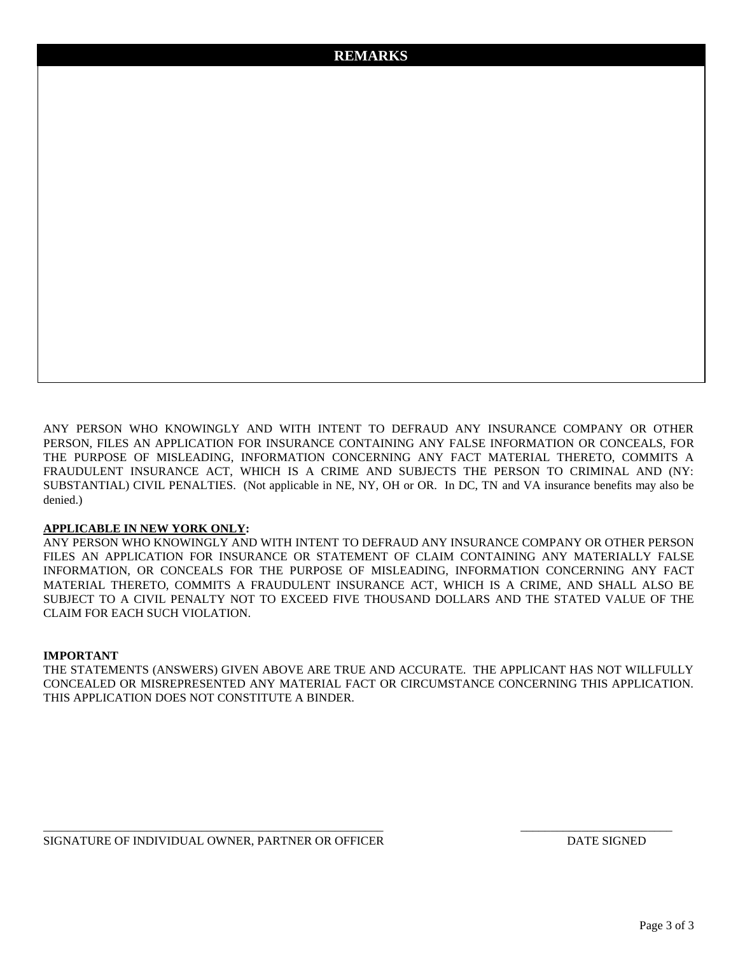ANY PERSON WHO KNOWINGLY AND WITH INTENT TO DEFRAUD ANY INSURANCE COMPANY OR OTHER PERSON, FILES AN APPLICATION FOR INSURANCE CONTAINING ANY FALSE INFORMATION OR CONCEALS, FOR THE PURPOSE OF MISLEADING, INFORMATION CONCERNING ANY FACT MATERIAL THERETO, COMMITS A FRAUDULENT INSURANCE ACT, WHICH IS A CRIME AND SUBJECTS THE PERSON TO CRIMINAL AND (NY: SUBSTANTIAL) CIVIL PENALTIES. (Not applicable in NE, NY, OH or OR. In DC, TN and VA insurance benefits may also be denied.)

#### **APPLICABLE IN NEW YORK ONLY:**

ANY PERSON WHO KNOWINGLY AND WITH INTENT TO DEFRAUD ANY INSURANCE COMPANY OR OTHER PERSON FILES AN APPLICATION FOR INSURANCE OR STATEMENT OF CLAIM CONTAINING ANY MATERIALLY FALSE INFORMATION, OR CONCEALS FOR THE PURPOSE OF MISLEADING, INFORMATION CONCERNING ANY FACT MATERIAL THERETO, COMMITS A FRAUDULENT INSURANCE ACT, WHICH IS A CRIME, AND SHALL ALSO BE SUBJECT TO A CIVIL PENALTY NOT TO EXCEED FIVE THOUSAND DOLLARS AND THE STATED VALUE OF THE CLAIM FOR EACH SUCH VIOLATION.

#### **IMPORTANT**

THE STATEMENTS (ANSWERS) GIVEN ABOVE ARE TRUE AND ACCURATE. THE APPLICANT HAS NOT WILLFULLY CONCEALED OR MISREPRESENTED ANY MATERIAL FACT OR CIRCUMSTANCE CONCERNING THIS APPLICATION. THIS APPLICATION DOES NOT CONSTITUTE A BINDER.

\_\_\_\_\_\_\_\_\_\_\_\_\_\_\_\_\_\_\_\_\_\_\_\_\_\_\_\_\_\_\_\_\_\_\_\_\_\_\_\_\_\_\_\_\_\_\_\_\_\_\_\_\_\_\_\_ \_\_\_\_\_\_\_\_\_\_\_\_\_\_\_\_\_\_\_\_\_\_\_\_\_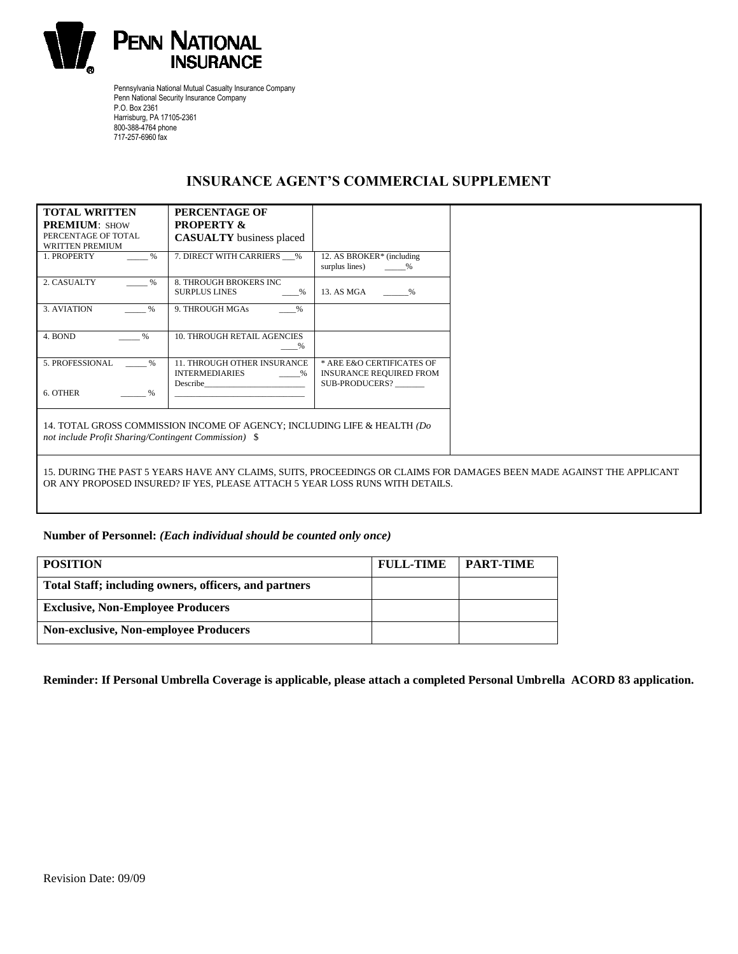

Pennsylvania National Mutual Casualty Insurance Company Penn National Security Insurance Company P.O. Box 2361 Harrisburg, PA 17105-2361 800-388-4764 phone 717-257-6960 fax

## **INSURANCE AGENT'S COMMERCIAL SUPPLEMENT**

| <b>TOTAL WRITTEN</b>                                                                                                                                                                                   | PERCENTAGE OF                                                                                          |                                                                               |  |  |  |  |
|--------------------------------------------------------------------------------------------------------------------------------------------------------------------------------------------------------|--------------------------------------------------------------------------------------------------------|-------------------------------------------------------------------------------|--|--|--|--|
| <b>PREMIUM: SHOW</b>                                                                                                                                                                                   | <b>PROPERTY &amp;</b>                                                                                  |                                                                               |  |  |  |  |
| PERCENTAGE OF TOTAL                                                                                                                                                                                    | <b>CASUALTY</b> business placed                                                                        |                                                                               |  |  |  |  |
| <b>WRITTEN PREMIUM</b>                                                                                                                                                                                 |                                                                                                        |                                                                               |  |  |  |  |
| $\%$<br>1. PROPERTY                                                                                                                                                                                    | 7. DIRECT WITH CARRIERS %                                                                              | 12. AS BROKER* (including<br>surplus lines)<br>$\%$                           |  |  |  |  |
| 2. CASUALTY<br>$\%$                                                                                                                                                                                    | 8. THROUGH BROKERS INC<br><b>SURPLUS LINES</b><br>$\%$                                                 | 13. AS MGA<br>$\%$                                                            |  |  |  |  |
| 3. AVIATION<br>%                                                                                                                                                                                       | 9. THROUGH MGAs<br>%                                                                                   |                                                                               |  |  |  |  |
| 4. BOND<br>$\frac{0}{6}$                                                                                                                                                                               | <b>10. THROUGH RETAIL AGENCIES</b><br>%                                                                |                                                                               |  |  |  |  |
| 5. PROFESSIONAL<br>$\%$                                                                                                                                                                                | <b>11. THROUGH OTHER INSURANCE</b><br><b>INTERMEDIARIES</b><br>$\sim$ $\sim$ $\sim$<br><b>Describe</b> | * ARE E&O CERTIFICATES OF<br><b>INSURANCE REQUIRED FROM</b><br>SUB-PRODUCERS? |  |  |  |  |
| 6. OTHER<br>%                                                                                                                                                                                          |                                                                                                        |                                                                               |  |  |  |  |
| not include Profit Sharing/Contingent Commission) \$                                                                                                                                                   | 14. TOTAL GROSS COMMISSION INCOME OF AGENCY; INCLUDING LIFE & HEALTH (Do                               |                                                                               |  |  |  |  |
| 15. DURING THE PAST 5 YEARS HAVE ANY CLAIMS, SUITS, PROCEEDINGS OR CLAIMS FOR DAMAGES BEEN MADE AGAINST THE APPLICANT<br>OR ANY PROPOSED INSURED? IF YES, PLEASE ATTACH 5 YEAR LOSS RUNS WITH DETAILS. |                                                                                                        |                                                                               |  |  |  |  |

### **Number of Personnel:** *(Each individual should be counted only once)*

| <b>POSITION</b>                                       | <b>FULL-TIME</b> | <b>PART-TIME</b> |
|-------------------------------------------------------|------------------|------------------|
| Total Staff; including owners, officers, and partners |                  |                  |
| <b>Exclusive, Non-Employee Producers</b>              |                  |                  |
| <b>Non-exclusive, Non-employee Producers</b>          |                  |                  |

**Reminder: If Personal Umbrella Coverage is applicable, please attach a completed Personal Umbrella ACORD 83 application.**